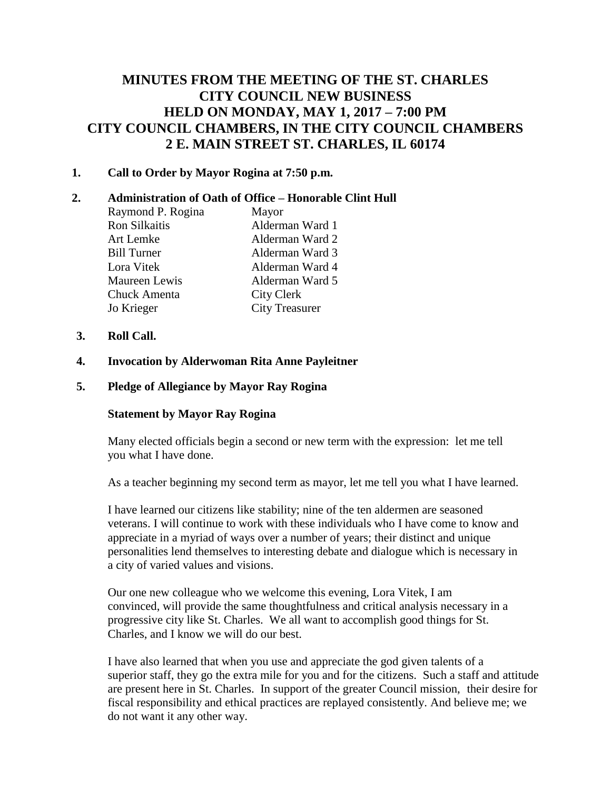# **MINUTES FROM THE MEETING OF THE ST. CHARLES CITY COUNCIL NEW BUSINESS HELD ON MONDAY, MAY 1, 2017 – 7:00 PM CITY COUNCIL CHAMBERS, IN THE CITY COUNCIL CHAMBERS 2 E. MAIN STREET ST. CHARLES, IL 60174**

# **1. Call to Order by Mayor Rogina at 7:50 p.m.**

# **2. Administration of Oath of Office – Honorable Clint Hull**

| Raymond P. Rogina  | Mayor                 |
|--------------------|-----------------------|
| Ron Silkaitis      | Alderman Ward 1       |
| Art Lemke          | Alderman Ward 2       |
| <b>Bill Turner</b> | Alderman Ward 3       |
| Lora Vitek         | Alderman Ward 4       |
| Maureen Lewis      | Alderman Ward 5       |
| Chuck Amenta       | <b>City Clerk</b>     |
| Jo Krieger         | <b>City Treasurer</b> |
|                    |                       |

- **3. Roll Call.**
- **4. Invocation by Alderwoman Rita Anne Payleitner**
- **5. Pledge of Allegiance by Mayor Ray Rogina**

#### **Statement by Mayor Ray Rogina**

Many elected officials begin a second or new term with the expression: let me tell you what I have done.

As a teacher beginning my second term as mayor, let me tell you what I have learned.

I have learned our citizens like stability; nine of the ten aldermen are seasoned veterans. I will continue to work with these individuals who I have come to know and appreciate in a myriad of ways over a number of years; their distinct and unique personalities lend themselves to interesting debate and dialogue which is necessary in a city of varied values and visions.

Our one new colleague who we welcome this evening, Lora Vitek, I am convinced, will provide the same thoughtfulness and critical analysis necessary in a progressive city like St. Charles. We all want to accomplish good things for St. Charles, and I know we will do our best.

I have also learned that when you use and appreciate the god given talents of a superior staff, they go the extra mile for you and for the citizens. Such a staff and attitude are present here in St. Charles. In support of the greater Council mission, their desire for fiscal responsibility and ethical practices are replayed consistently. And believe me; we do not want it any other way.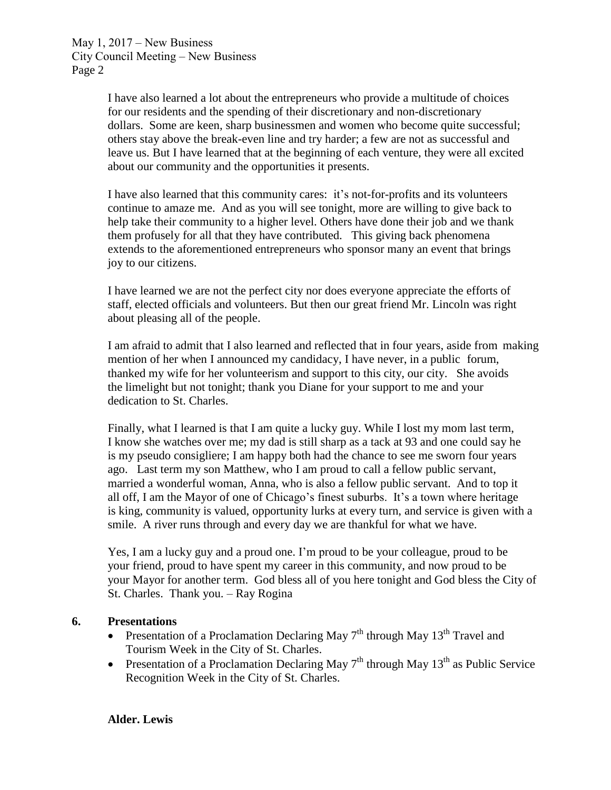> I have also learned a lot about the entrepreneurs who provide a multitude of choices for our residents and the spending of their discretionary and non-discretionary dollars. Some are keen, sharp businessmen and women who become quite successful; others stay above the break-even line and try harder; a few are not as successful and leave us. But I have learned that at the beginning of each venture, they were all excited about our community and the opportunities it presents.

I have also learned that this community cares: it's not-for-profits and its volunteers continue to amaze me. And as you will see tonight, more are willing to give back to help take their community to a higher level. Others have done their job and we thank them profusely for all that they have contributed. This giving back phenomena extends to the aforementioned entrepreneurs who sponsor many an event that brings joy to our citizens.

I have learned we are not the perfect city nor does everyone appreciate the efforts of staff, elected officials and volunteers. But then our great friend Mr. Lincoln was right about pleasing all of the people.

I am afraid to admit that I also learned and reflected that in four years, aside from making mention of her when I announced my candidacy, I have never, in a public forum, thanked my wife for her volunteerism and support to this city, our city. She avoids the limelight but not tonight; thank you Diane for your support to me and your dedication to St. Charles.

Finally, what I learned is that I am quite a lucky guy. While I lost my mom last term, I know she watches over me; my dad is still sharp as a tack at 93 and one could say he is my pseudo consigliere; I am happy both had the chance to see me sworn four years ago. Last term my son Matthew, who I am proud to call a fellow public servant, married a wonderful woman, Anna, who is also a fellow public servant. And to top it all off, I am the Mayor of one of Chicago's finest suburbs. It's a town where heritage is king, community is valued, opportunity lurks at every turn, and service is given with a smile. A river runs through and every day we are thankful for what we have.

Yes, I am a lucky guy and a proud one. I'm proud to be your colleague, proud to be your friend, proud to have spent my career in this community, and now proud to be your Mayor for another term. God bless all of you here tonight and God bless the City of St. Charles. Thank you. – Ray Rogina

# **6. Presentations**

- Presentation of a Proclamation Declaring May  $7<sup>th</sup>$  through May 13<sup>th</sup> Travel and Tourism Week in the City of St. Charles.
- Presentation of a Proclamation Declaring May  $7<sup>th</sup>$  through May  $13<sup>th</sup>$  as Public Service Recognition Week in the City of St. Charles.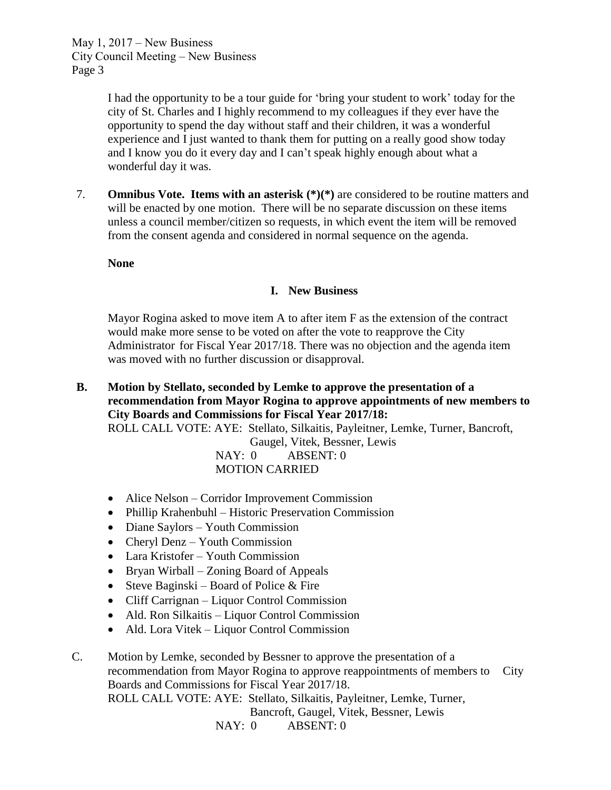> I had the opportunity to be a tour guide for 'bring your student to work' today for the city of St. Charles and I highly recommend to my colleagues if they ever have the opportunity to spend the day without staff and their children, it was a wonderful experience and I just wanted to thank them for putting on a really good show today and I know you do it every day and I can't speak highly enough about what a wonderful day it was.

7. **Omnibus Vote. Items with an asterisk (\*)(\*)** are considered to be routine matters and will be enacted by one motion. There will be no separate discussion on these items unless a council member/citizen so requests, in which event the item will be removed from the consent agenda and considered in normal sequence on the agenda.

**None**

# **I. New Business**

Mayor Rogina asked to move item A to after item F as the extension of the contract would make more sense to be voted on after the vote to reapprove the City Administrator for Fiscal Year 2017/18. There was no objection and the agenda item was moved with no further discussion or disapproval.

- **B. Motion by Stellato, seconded by Lemke to approve the presentation of a recommendation from Mayor Rogina to approve appointments of new members to City Boards and Commissions for Fiscal Year 2017/18:** ROLL CALL VOTE: AYE: Stellato, Silkaitis, Payleitner, Lemke, Turner, Bancroft, Gaugel, Vitek, Bessner, Lewis NAY: 0 ABSENT: 0 MOTION CARRIED
	- Alice Nelson Corridor Improvement Commission
	- Phillip Krahenbuhl Historic Preservation Commission
	- Diane Saylors Youth Commission
	- Cheryl Denz Youth Commission
	- Lara Kristofer Youth Commission
	- Bryan Wirball Zoning Board of Appeals
	- Steve Baginski Board of Police & Fire
	- Cliff Carrignan Liquor Control Commission
	- Ald. Ron Silkaitis Liquor Control Commission
	- Ald. Lora Vitek Liquor Control Commission

C. Motion by Lemke, seconded by Bessner to approve the presentation of a recommendation from Mayor Rogina to approve reappointments of members to City Boards and Commissions for Fiscal Year 2017/18. ROLL CALL VOTE: AYE: Stellato, Silkaitis, Payleitner, Lemke, Turner, Bancroft, Gaugel, Vitek, Bessner, Lewis

NAY: 0 ABSENT: 0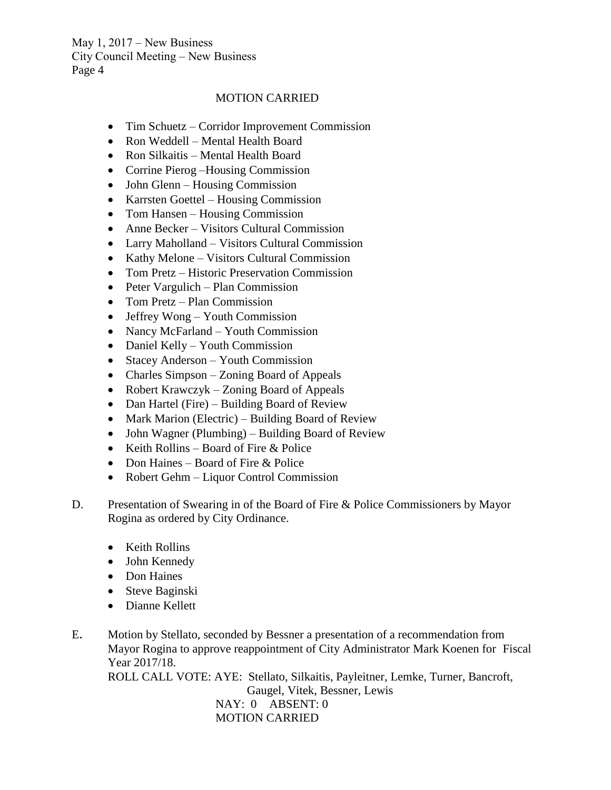# MOTION CARRIED

- Tim Schuetz Corridor Improvement Commission
- Ron Weddell Mental Health Board
- Ron Silkaitis Mental Health Board
- Corrine Pierog Housing Commission
- John Glenn Housing Commission
- Karrsten Goettel Housing Commission
- Tom Hansen Housing Commission
- Anne Becker Visitors Cultural Commission
- Larry Maholland Visitors Cultural Commission
- Kathy Melone Visitors Cultural Commission
- Tom Pretz Historic Preservation Commission
- Peter Vargulich Plan Commission
- Tom Pretz Plan Commission
- Jeffrey Wong Youth Commission
- Nancy McFarland Youth Commission
- Daniel Kelly Youth Commission
- Stacey Anderson Youth Commission
- Charles Simpson Zoning Board of Appeals
- Robert Krawczyk Zoning Board of Appeals
- Dan Hartel (Fire) Building Board of Review
- Mark Marion (Electric) Building Board of Review
- John Wagner (Plumbing) Building Board of Review
- Keith Rollins Board of Fire & Police
- Don Haines Board of Fire & Police
- Robert Gehm Liquor Control Commission
- D. Presentation of Swearing in of the Board of Fire & Police Commissioners by Mayor Rogina as ordered by City Ordinance.
	- Keith Rollins
	- John Kennedy
	- Don Haines
	- Steve Baginski
	- Dianne Kellett
- E. Motion by Stellato, seconded by Bessner a presentation of a recommendation from Mayor Rogina to approve reappointment of City Administrator Mark Koenen for Fiscal Year 2017/18.

ROLL CALL VOTE: AYE: Stellato, Silkaitis, Payleitner, Lemke, Turner, Bancroft, Gaugel, Vitek, Bessner, Lewis NAY: 0 ABSENT: 0 MOTION CARRIED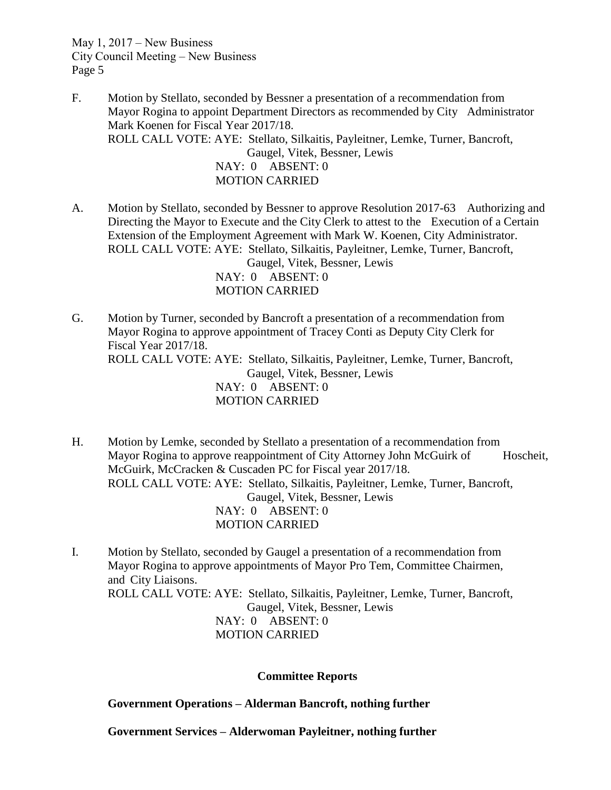- F. Motion by Stellato, seconded by Bessner a presentation of a recommendation from Mayor Rogina to appoint Department Directors as recommended by City Administrator Mark Koenen for Fiscal Year 2017/18. ROLL CALL VOTE: AYE: Stellato, Silkaitis, Payleitner, Lemke, Turner, Bancroft, Gaugel, Vitek, Bessner, Lewis NAY: 0 ABSENT: 0 MOTION CARRIED
- A. Motion by Stellato, seconded by Bessner to approve Resolution 2017-63 Authorizing and Directing the Mayor to Execute and the City Clerk to attest to the Execution of a Certain Extension of the Employment Agreement with Mark W. Koenen, City Administrator. ROLL CALL VOTE: AYE: Stellato, Silkaitis, Payleitner, Lemke, Turner, Bancroft, Gaugel, Vitek, Bessner, Lewis NAY: 0 ABSENT: 0 MOTION CARRIED
- G. Motion by Turner, seconded by Bancroft a presentation of a recommendation from Mayor Rogina to approve appointment of Tracey Conti as Deputy City Clerk for Fiscal Year 2017/18. ROLL CALL VOTE: AYE: Stellato, Silkaitis, Payleitner, Lemke, Turner, Bancroft, Gaugel, Vitek, Bessner, Lewis NAY: 0 ABSENT: 0 MOTION CARRIED
- H. Motion by Lemke, seconded by Stellato a presentation of a recommendation from Mayor Rogina to approve reappointment of City Attorney John McGuirk of Hoscheit, McGuirk, McCracken & Cuscaden PC for Fiscal year 2017/18. ROLL CALL VOTE: AYE: Stellato, Silkaitis, Payleitner, Lemke, Turner, Bancroft, Gaugel, Vitek, Bessner, Lewis NAY: 0 ABSENT: 0 MOTION CARRIED
- I. Motion by Stellato, seconded by Gaugel a presentation of a recommendation from Mayor Rogina to approve appointments of Mayor Pro Tem, Committee Chairmen, and City Liaisons. ROLL CALL VOTE: AYE: Stellato, Silkaitis, Payleitner, Lemke, Turner, Bancroft, Gaugel, Vitek, Bessner, Lewis NAY: 0 ABSENT: 0 MOTION CARRIED

#### **Committee Reports**

**Government Operations – Alderman Bancroft, nothing further**

**Government Services – Alderwoman Payleitner, nothing further**